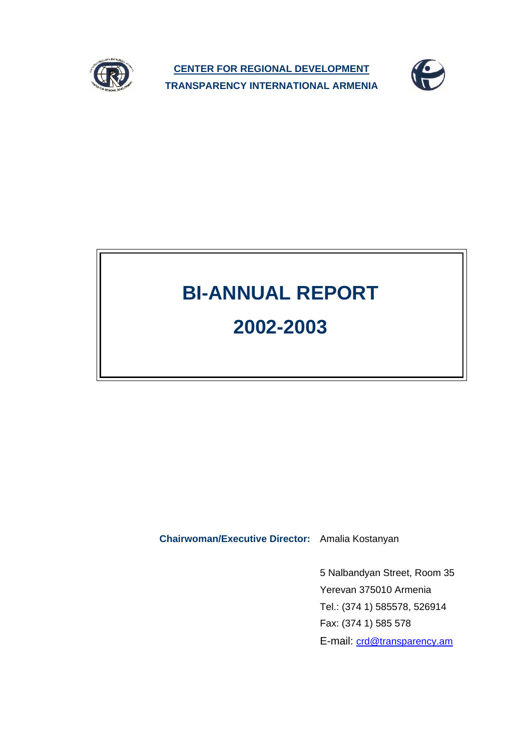

**CENTER FOR REGIONAL DEVELOPMENT TRANSPARENCY INTERNATIONAL ARMENIA**



# **BI-ANNUAL REPORT**

## **2002-2003**

**Chairwoman/Executive Director:** Amalia Kostanyan

5 Nalbandyan Street, Room 35 Yerevan 375010 Armenia Tel.: (374 1) 585578, 526914 Fax: (374 1) 585 578 E-mail: crd@transparency.am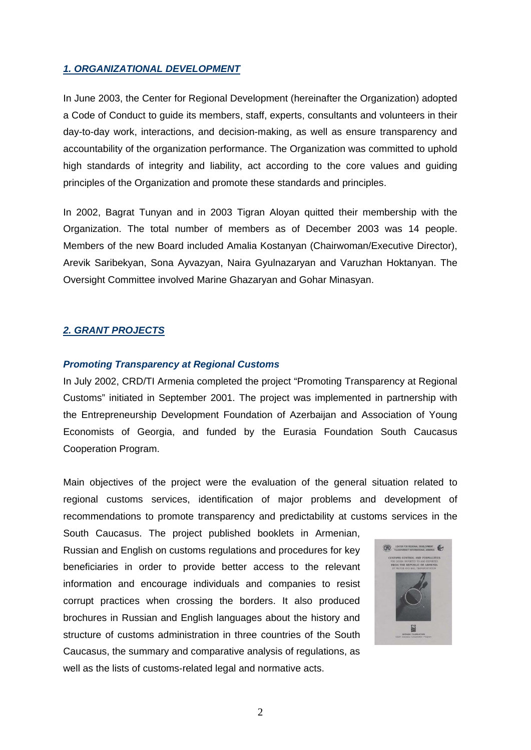#### *1. ORGANIZATIONAL DEVELOPMENT*

In June 2003, the Center for Regional Development (hereinafter the Organization) adopted a Code of Conduct to guide its members, staff, experts, consultants and volunteers in their day-to-day work, interactions, and decision-making, as well as ensure transparency and accountability of the organization performance. The Organization was committed to uphold high standards of integrity and liability, act according to the core values and guiding principles of the Organization and promote these standards and principles.

In 2002, Bagrat Tunyan and in 2003 Tigran Aloyan quitted their membership with the Organization. The total number of members as of December 2003 was 14 people. Members of the new Board included Amalia Kostanyan (Chairwoman/Executive Director), Arevik Saribekyan, Sona Ayvazyan, Naira Gyulnazaryan and Varuzhan Hoktanyan. The Oversight Committee involved Marine Ghazaryan and Gohar Minasyan.

#### *2. GRANT PROJECTS*

#### *Promoting Transparency at Regional Customs*

In July 2002, CRD/TI Armenia completed the project "Promoting Transparency at Regional Customs" initiated in September 2001. The project was implemented in partnership with the Entrepreneurship Development Foundation of Azerbaijan and Association of Young Economists of Georgia, and funded by the Eurasia Foundation South Caucasus Cooperation Program.

Main objectives of the project were the evaluation of the general situation related to regional customs services, identification of major problems and development of recommendations to promote transparency and predictability at customs services in the

South Caucasus. The project published booklets in Armenian, Russian and English on customs regulations and procedures for key beneficiaries in order to provide better access to the relevant information and encourage individuals and companies to resist corrupt practices when crossing the borders. It also produced brochures in Russian and English languages about the history and structure of customs administration in three countries of the South Caucasus, the summary and comparative analysis of regulations, as well as the lists of customs-related legal and normative acts.

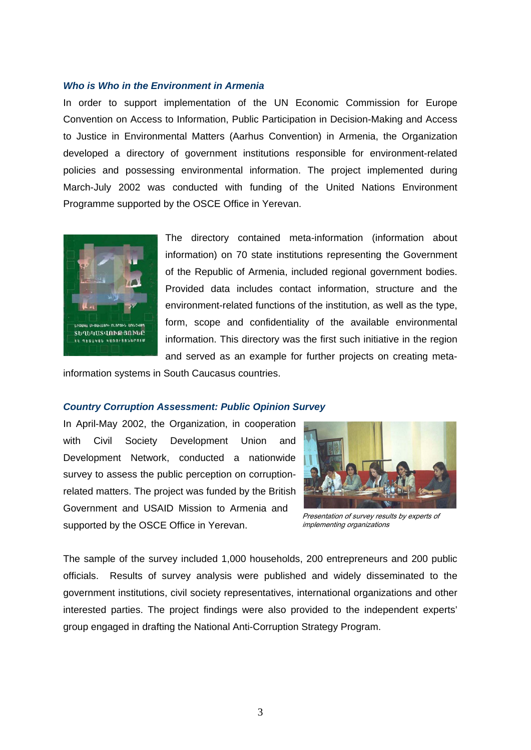#### *Who is Who in the Environment in Armenia*

In order to support implementation of the UN Economic Commission for Europe Convention on Access to Information, Public Participation in Decision-Making and Access to Justice in Environmental Matters (Aarhus Convention) in Armenia, the Organization developed a directory of government institutions responsible for environment-related policies and possessing environmental information. The project implemented during March-July 2002 was conducted with funding of the United Nations Environment Programme supported by the OSCE Office in Yerevan.



The directory contained meta-information (information about information) on 70 state institutions representing the Government of the Republic of Armenia, included regional government bodies. Provided data includes contact information, structure and the environment-related functions of the institution, as well as the type, form, scope and confidentiality of the available environmental information. This directory was the first such initiative in the region and served as an example for further projects on creating meta-

information systems in South Caucasus countries.

#### *Country Corruption Assessment: Public Opinion Survey*

In April-May 2002, the Organization, in cooperation with Civil Society Development Union and Development Network, conducted a nationwide survey to assess the public perception on corruptionrelated matters. The project was funded by the British Government and USAID Mission to Armenia and supported by the OSCE Office in Yerevan.



Presentation of survey results by experts of implementing organizations

The sample of the survey included 1,000 households, 200 entrepreneurs and 200 public officials. Results of survey analysis were published and widely disseminated to the government institutions, civil society representatives, international organizations and other interested parties. The project findings were also provided to the independent experts' group engaged in drafting the National Anti-Corruption Strategy Program.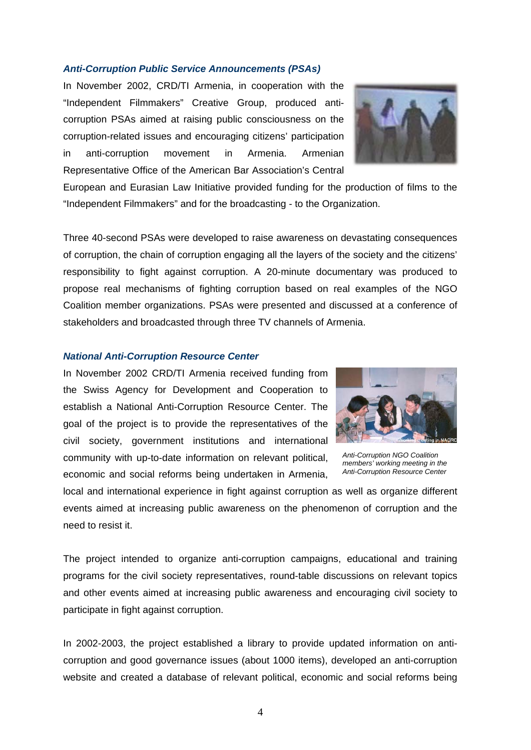#### *Anti-Corruption Public Service Announcements (PSAs)*

In November 2002, CRD/TI Armenia, in cooperation with the "Independent Filmmakers" Creative Group, produced anticorruption PSAs aimed at raising public consciousness on the corruption-related issues and encouraging citizens' participation in anti-corruption movement in Armenia. Armenian Representative Office of the American Bar Association's Central



European and Eurasian Law Initiative provided funding for the production of films to the "Independent Filmmakers" and for the broadcasting - to the Organization.

Three 40-second PSAs were developed to raise awareness on devastating consequences of corruption, the chain of corruption engaging all the layers of the society and the citizens' responsibility to fight against corruption. A 20-minute documentary was produced to propose real mechanisms of fighting corruption based on real examples of the NGO Coalition member organizations. PSAs were presented and discussed at a conference of stakeholders and broadcasted through three TV channels of Armenia.

#### *National Anti-Corruption Resource Center*

In November 2002 CRD/TI Armenia received funding from the Swiss Agency for Development and Cooperation to establish a National Anti-Corruption Resource Center. The goal of the project is to provide the representatives of the civil society, government institutions and international community with up-to-date information on relevant political, economic and social reforms being undertaken in Armenia,



*Anti-Corruption NGO Coalition members' working meeting in the Anti-Corruption Resource Center* 

local and international experience in fight against corruption as well as organize different events aimed at increasing public awareness on the phenomenon of corruption and the need to resist it.

The project intended to organize anti-corruption campaigns, educational and training programs for the civil society representatives, round-table discussions on relevant topics and other events aimed at increasing public awareness and encouraging civil society to participate in fight against corruption.

In 2002-2003, the project established a library to provide updated information on anticorruption and good governance issues (about 1000 items), developed an anti-corruption website and created a database of relevant political, economic and social reforms being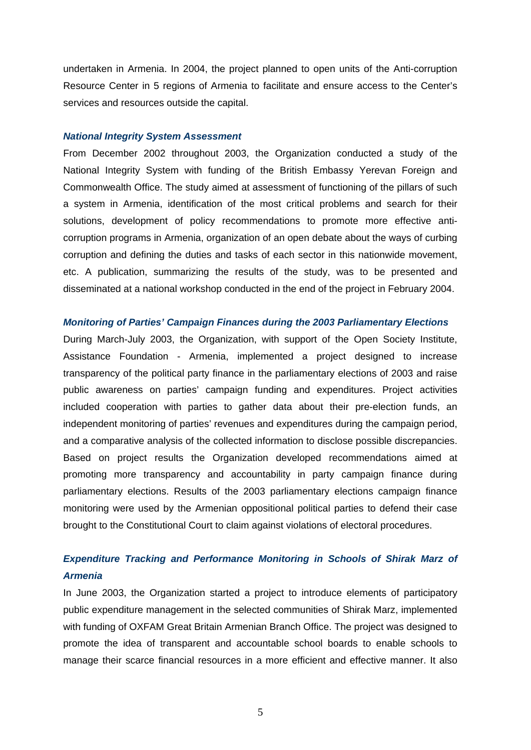undertaken in Armenia. In 2004, the project planned to open units of the Anti-corruption Resource Center in 5 regions of Armenia to facilitate and ensure access to the Center's services and resources outside the capital.

#### *National Integrity System Assessment*

From December 2002 throughout 2003, the Organization conducted a study of the National Integrity System with funding of the British Embassy Yerevan Foreign and Commonwealth Office. The study aimed at assessment of functioning of the pillars of such a system in Armenia, identification of the most critical problems and search for their solutions, development of policy recommendations to promote more effective anticorruption programs in Armenia, organization of an open debate about the ways of curbing corruption and defining the duties and tasks of each sector in this nationwide movement, etc. A publication, summarizing the results of the study, was to be presented and disseminated at a national workshop conducted in the end of the project in February 2004.

#### *Monitoring of Parties' Campaign Finances during the 2003 Parliamentary Elections*

During March-July 2003, the Organization, with support of the Open Society Institute, Assistance Foundation - Armenia, implemented a project designed to increase transparency of the political party finance in the parliamentary elections of 2003 and raise public awareness on parties' campaign funding and expenditures. Project activities included cooperation with parties to gather data about their pre-election funds, an independent monitoring of parties' revenues and expenditures during the campaign period, and a comparative analysis of the collected information to disclose possible discrepancies. Based on project results the Organization developed recommendations aimed at promoting more transparency and accountability in party campaign finance during parliamentary elections. Results of the 2003 parliamentary elections campaign finance monitoring were used by the Armenian oppositional political parties to defend their case brought to the Constitutional Court to claim against violations of electoral procedures.

## *Expenditure Tracking and Performance Monitoring in Schools of Shirak Marz of Armenia*

In June 2003, the Organization started a project to introduce elements of participatory public expenditure management in the selected communities of Shirak Marz, implemented with funding of OXFAM Great Britain Armenian Branch Office. The project was designed to promote the idea of transparent and accountable school boards to enable schools to manage their scarce financial resources in a more efficient and effective manner. It also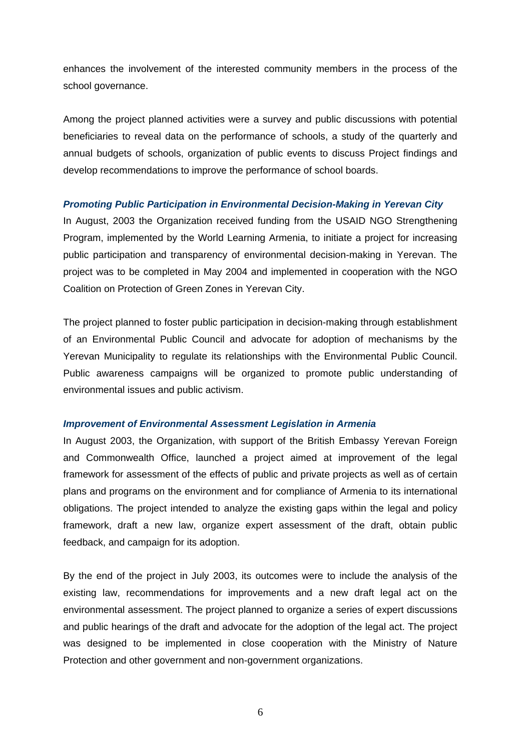enhances the involvement of the interested community members in the process of the school governance.

Among the project planned activities were a survey and public discussions with potential beneficiaries to reveal data on the performance of schools, a study of the quarterly and annual budgets of schools, organization of public events to discuss Project findings and develop recommendations to improve the performance of school boards.

#### *Promoting Public Participation in Environmental Decision-Making in Yerevan City*

In August, 2003 the Organization received funding from the USAID NGO Strengthening Program, implemented by the World Learning Armenia, to initiate a project for increasing public participation and transparency of environmental decision-making in Yerevan. The project was to be completed in May 2004 and implemented in cooperation with the NGO Coalition on Protection of Green Zones in Yerevan City.

The project planned to foster public participation in decision-making through establishment of an Environmental Public Council and advocate for adoption of mechanisms by the Yerevan Municipality to regulate its relationships with the Environmental Public Council. Public awareness campaigns will be organized to promote public understanding of environmental issues and public activism.

#### *Improvement of Environmental Assessment Legislation in Armenia*

In August 2003, the Organization, with support of the British Embassy Yerevan Foreign and Commonwealth Office, launched a project aimed at improvement of the legal framework for assessment of the effects of public and private projects as well as of certain plans and programs on the environment and for compliance of Armenia to its international obligations. The project intended to analyze the existing gaps within the legal and policy framework, draft a new law, organize expert assessment of the draft, obtain public feedback, and campaign for its adoption.

By the end of the project in July 2003, its outcomes were to include the analysis of the existing law, recommendations for improvements and a new draft legal act on the environmental assessment. The project planned to organize a series of expert discussions and public hearings of the draft and advocate for the adoption of the legal act. The project was designed to be implemented in close cooperation with the Ministry of Nature Protection and other government and non-government organizations.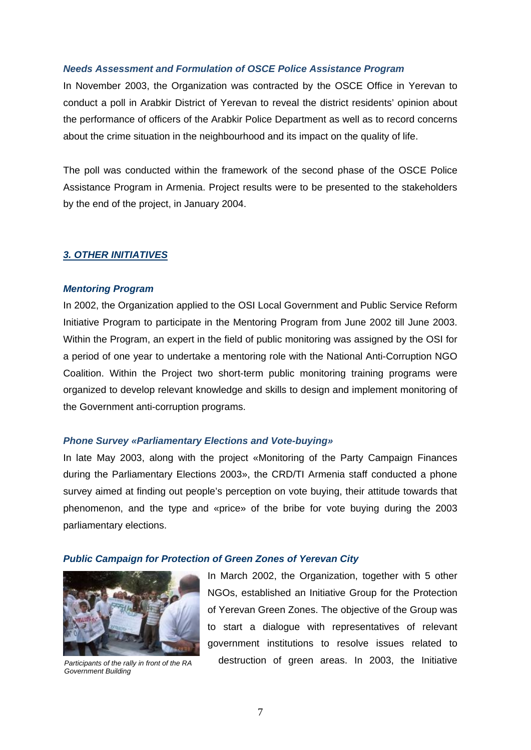#### *Needs Assessment and Formulation of OSCE Police Assistance Program*

In November 2003, the Organization was contracted by the OSCE Office in Yerevan to conduct a poll in Arabkir District of Yerevan to reveal the district residents' opinion about the performance of officers of the Arabkir Police Department as well as to record concerns about the crime situation in the neighbourhood and its impact on the quality of life.

The poll was conducted within the framework of the second phase of the OSCE Police Assistance Program in Armenia. Project results were to be presented to the stakeholders by the end of the project, in January 2004.

#### *3. OTHER INITIATIVES*

#### *Mentoring Program*

In 2002, the Organization applied to the OSI Local Government and Public Service Reform Initiative Program to participate in the Mentoring Program from June 2002 till June 2003. Within the Program, an expert in the field of public monitoring was assigned by the OSI for a period of one year to undertake a mentoring role with the National Anti-Corruption NGO Coalition. Within the Project two short-term public monitoring training programs were organized to develop relevant knowledge and skills to design and implement monitoring of the Government anti-corruption programs.

#### *Phone Survey «Parliamentary Elections and Vote-buying»*

In late May 2003, along with the project «Monitoring of the Party Campaign Finances during the Parliamentary Elections 2003», the CRD/TI Armenia staff conducted a phone survey aimed at finding out people's perception on vote buying, their attitude towards that phenomenon, and the type and «price» of the bribe for vote buying during the 2003 parliamentary elections.

#### *Public Campaign for Protection of Green Zones of Yerevan City*



*Government Building* 

In March 2002, the Organization, together with 5 other NGOs, established an Initiative Group for the Protection of Yerevan Green Zones. The objective of the Group was to start a dialogue with representatives of relevant government institutions to resolve issues related to *Participants of the rally in front of the RA* destruction of green areas. In 2003, the Initiative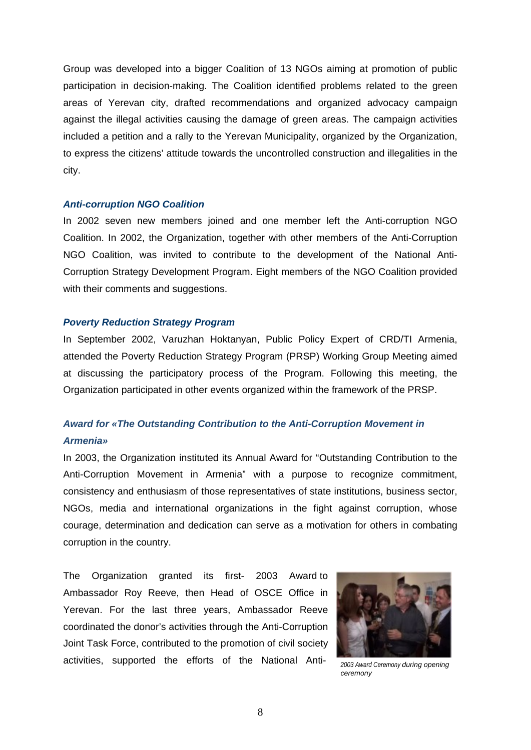Group was developed into a bigger Coalition of 13 NGOs aiming at promotion of public participation in decision-making. The Coalition identified problems related to the green areas of Yerevan city, drafted recommendations and organized advocacy campaign against the illegal activities causing the damage of green areas. The campaign activities included a petition and a rally to the Yerevan Municipality, organized by the Organization, to express the citizens' attitude towards the uncontrolled construction and illegalities in the city.

#### *Anti-corruption NGO Coalition*

In 2002 seven new members joined and one member left the Anti-corruption NGO Coalition. In 2002, the Organization, together with other members of the Anti-Corruption NGO Coalition, was invited to contribute to the development of the National Anti-Corruption Strategy Development Program. Eight members of the NGO Coalition provided with their comments and suggestions.

#### *Poverty Reduction Strategy Program*

In September 2002, Varuzhan Hoktanyan, Public Policy Expert of CRD/TI Armenia, attended the Poverty Reduction Strategy Program (PRSP) Working Group Meeting aimed at discussing the participatory process of the Program. Following this meeting, the Organization participated in other events organized within the framework of the PRSP.

## *Award for «The Outstanding Contribution to the Anti-Corruption Movement in Armenia»*

In 2003, the Organization instituted its Annual Award for "Outstanding Contribution to the Anti-Corruption Movement in Armenia" with a purpose to recognize commitment, consistency and enthusiasm of those representatives of state institutions, business sector, NGOs, media and international organizations in the fight against corruption, whose courage, determination and dedication can serve as a motivation for others in combating corruption in the country.

The Organization granted its first- 2003 Award to Ambassador Roy Reeve, then Head of OSCE Office in Yerevan. For the last three years, Ambassador Reeve coordinated the donor's activities through the Anti-Corruption Joint Task Force, contributed to the promotion of civil society activities, supported the efforts of the National Anti- *2003 Award Ceremony during opening* 



*ceremony*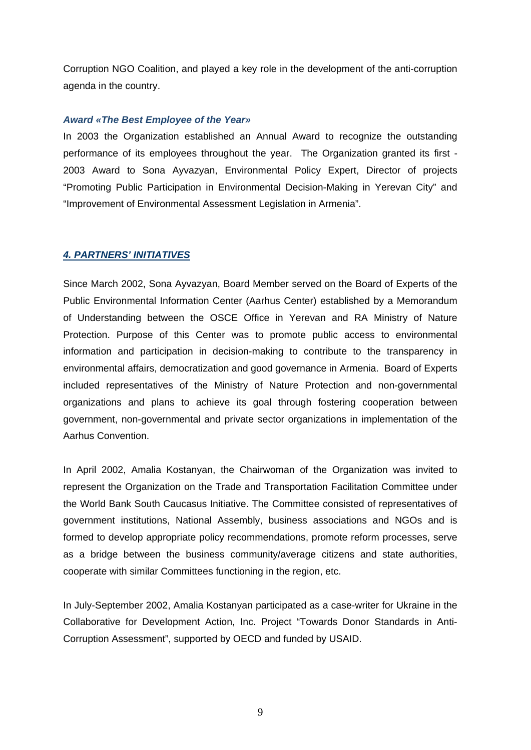Corruption NGO Coalition, and played a key role in the development of the anti-corruption agenda in the country.

#### *Award «The Best Employee of the Year»*

In 2003 the Organization established an Annual Award to recognize the outstanding performance of its employees throughout the year. The Organization granted its first - 2003 Award to Sona Ayvazyan, Environmental Policy Expert, Director of projects "Promoting Public Participation in Environmental Decision-Making in Yerevan City" and "Improvement of Environmental Assessment Legislation in Armenia".

#### *4. PARTNERS' INITIATIVES*

Since March 2002, Sona Ayvazyan, Board Member served on the Board of Experts of the Public Environmental Information Center (Aarhus Center) established by a Memorandum of Understanding between the OSCE Office in Yerevan and RA Ministry of Nature Protection. Purpose of this Center was to promote public access to environmental information and participation in decision-making to contribute to the transparency in environmental affairs, democratization and good governance in Armenia. Board of Experts included representatives of the Ministry of Nature Protection and non-governmental organizations and plans to achieve its goal through fostering cooperation between government, non-governmental and private sector organizations in implementation of the Aarhus Convention.

In April 2002, Amalia Kostanyan, the Chairwoman of the Organization was invited to represent the Organization on the Trade and Transportation Facilitation Committee under the World Bank South Caucasus Initiative. The Committee consisted of representatives of government institutions, National Assembly, business associations and NGOs and is formed to develop appropriate policy recommendations, promote reform processes, serve as a bridge between the business community/average citizens and state authorities, cooperate with similar Committees functioning in the region, etc.

In July-September 2002, Amalia Kostanyan participated as a case-writer for Ukraine in the Collaborative for Development Action, Inc. Project "Towards Donor Standards in Anti-Corruption Assessment", supported by OECD and funded by USAID.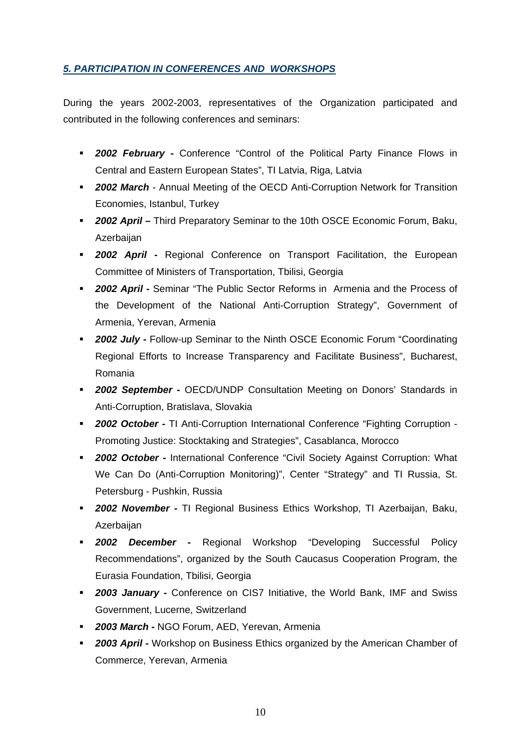### *5. PARTICIPATION IN CONFERENCES AND WORKSHOPS*

During the years 2002-2003, representatives of the Organization participated and contributed in the following conferences and seminars:

- *2002 February* **-** Conference "Control of the Political Party Finance Flows in Central and Eastern European States", TI Latvia, Riga, Latvia
- **2002 March** Annual Meeting of the OECD Anti-Corruption Network for Transition Economies, Istanbul, Turkey
- *2002 April* **–** Third Preparatory Seminar to the 10th OSCE Economic Forum, Baku, **Azerbaijan**
- **2002 April -** Regional Conference on Transport Facilitation, the European Committee of Ministers of Transportation, Tbilisi, Georgia
- *2002 April* **-** Seminar "The Public Sector Reforms in Armenia and the Process of the Development of the National Anti-Corruption Strategy", Government of Armenia, Yerevan, Armenia
- *2002 July* **-** Follow-up Seminar to the Ninth OSCE Economic Forum "Coordinating Regional Efforts to Increase Transparency and Facilitate Business", Bucharest, Romania
- **2002 September** OECD/UNDP Consultation Meeting on Donors' Standards in Anti-Corruption, Bratislava, Slovakia
- *2002 October* **-** TI Anti-Corruption International Conference "Fighting Corruption Promoting Justice: Stocktaking and Strategies", Casablanca, Morocco
- *2002 October* **-** International Conference "Civil Society Against Corruption: What We Can Do (Anti-Corruption Monitoring)", Center "Strategy" and TI Russia, St. Petersburg - Pushkin, Russia
- *2002 November* **-** TI Regional Business Ethics Workshop, TI Azerbaijan, Baku, Azerbaijan
- *2002 December* **-** Regional Workshop "Developing Successful Policy Recommendations", organized by the South Caucasus Cooperation Program, the Eurasia Foundation, Tbilisi, Georgia
- *2003 January -* Conference on CIS7 Initiative, the World Bank, IMF and Swiss Government, Lucerne, Switzerland
- *2003 March* **-** NGO Forum, AED, Yerevan, Armenia
- **2003 April -** Workshop on Business Ethics organized by the American Chamber of Commerce, Yerevan, Armenia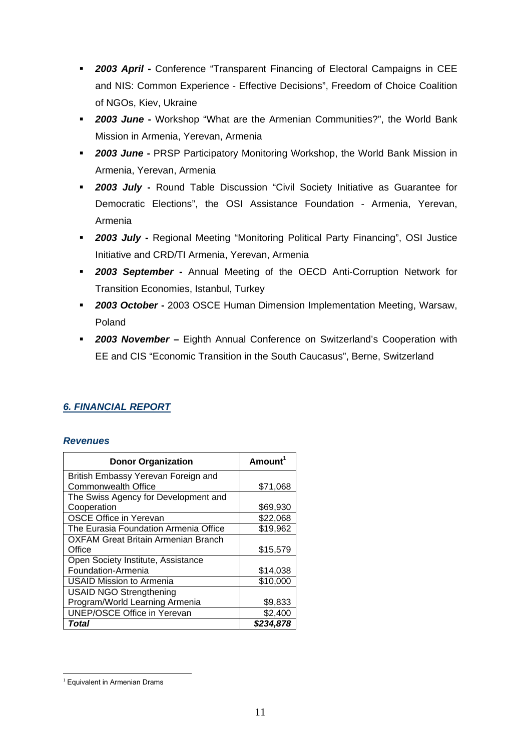- **2003 April Conference "Transparent Financing of Electoral Campaigns in CEE** and NIS: Common Experience - Effective Decisions", Freedom of Choice Coalition of NGOs, Kiev, Ukraine
- **2003 June -** Workshop "What are the Armenian Communities?", the World Bank Mission in Armenia, Yerevan, Armenia
- **2003 June PRSP Participatory Monitoring Workshop, the World Bank Mission in** Armenia, Yerevan, Armenia
- **2003 July Round Table Discussion "Civil Society Initiative as Guarantee for** Democratic Elections", the OSI Assistance Foundation - Armenia, Yerevan, Armenia
- **2003 July** Regional Meeting "Monitoring Political Party Financing", OSI Justice Initiative and CRD/TI Armenia, Yerevan, Armenia
- *2003 September* **-** Annual Meeting of the OECD Anti-Corruption Network for Transition Economies, Istanbul, Turkey
- **2003 October -** 2003 OSCE Human Dimension Implementation Meeting, Warsaw, Poland
- *2003 November* **–** Eighth Annual Conference on Switzerland's Cooperation with EE and CIS "Economic Transition in the South Caucasus", Berne, Switzerland

## *6. FINANCIAL REPORT*

#### *Revenues*

| <b>Donor Organization</b>             | Amount <sup>1</sup> |
|---------------------------------------|---------------------|
| British Embassy Yerevan Foreign and   |                     |
| <b>Commonwealth Office</b>            | \$71,068            |
| The Swiss Agency for Development and  |                     |
| Cooperation                           | \$69,930            |
| <b>OSCE Office in Yerevan</b>         | \$22,068            |
| The Eurasia Foundation Armenia Office | \$19,962            |
| OXFAM Great Britain Armenian Branch   |                     |
| Office                                | \$15,579            |
| Open Society Institute, Assistance    |                     |
| Foundation-Armenia                    | \$14,038            |
| <b>USAID Mission to Armenia</b>       | \$10,000            |
| <b>USAID NGO Strengthening</b>        |                     |
| Program/World Learning Armenia        | \$9,833             |
| <b>UNEP/OSCE Office in Yerevan</b>    | \$2,400             |
| Total                                 | \$234,878           |

1

<sup>&</sup>lt;sup>1</sup> Equivalent in Armenian Drams